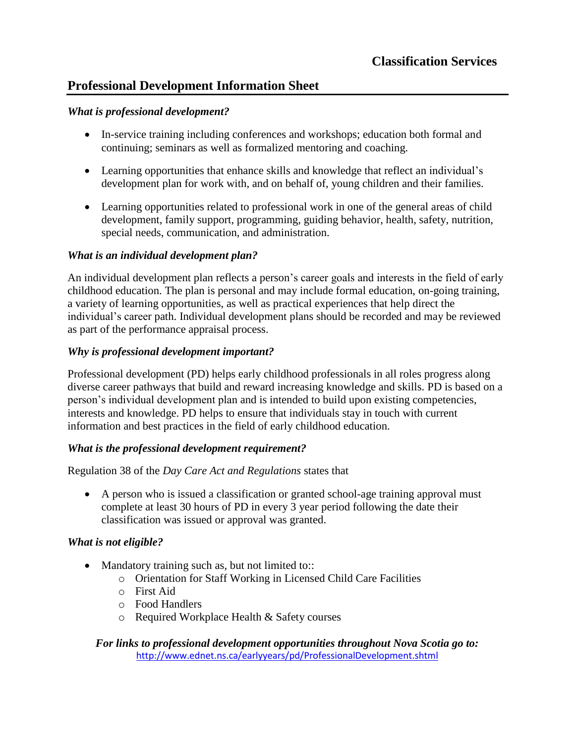# **Professional Development Information Sheet**

#### *What is professional development?*

- In-service training including conferences and workshops; education both formal and continuing; seminars as well as formalized mentoring and coaching.
- Learning opportunities that enhance skills and knowledge that reflect an individual's development plan for work with, and on behalf of, young children and their families.
- Learning opportunities related to professional work in one of the general areas of child development, family support, programming, guiding behavior, health, safety, nutrition, special needs, communication, and administration.

### *What is an individual development plan?*

An individual development plan reflects a person's career goals and interests in the field of early childhood education. The plan is personal and may include formal education, on-going training, a variety of learning opportunities, as well as practical experiences that help direct the individual's career path. Individual development plans should be recorded and may be reviewed as part of the performance appraisal process.

#### *Why is professional development important?*

Professional development (PD) helps early childhood professionals in all roles progress along diverse career pathways that build and reward increasing knowledge and skills. PD is based on a person's individual development plan and is intended to build upon existing competencies, interests and knowledge. PD helps to ensure that individuals stay in touch with current information and best practices in the field of early childhood education.

### *What is the professional development requirement?*

Regulation 38 of the *Day Care Act and Regulations* states that

• A person who is issued a classification or granted school-age training approval must complete at least 30 hours of PD in every 3 year period following the date their classification was issued or approval was granted.

### *What is not eligible?*

- Mandatory training such as, but not limited to::
	- o Orientation for Staff Working in Licensed Child Care Facilities
	- o First Aid
	- o Food Handlers
	- o Required Workplace Health & Safety courses

*For links to professional development opportunities throughout Nova Scotia go to:*  <http://www.ednet.ns.ca/earlyyears/pd/ProfessionalDevelopment.shtml>